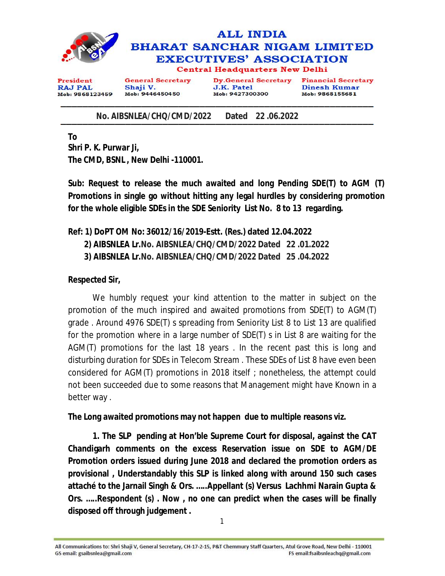

 **No. AIBSNLEA/CHQ/CMD/2022 Dated 22 .06.2022**

**To Shri P. K. Purwar Ji, The CMD, BSNL , New Delhi -110001.** 

**Sub: Request to release the much awaited and long Pending SDE(T) to AGM (T) Promotions in single go without hitting any legal hurdles by considering promotion for the whole eligible SDEs in the SDE Seniority List No. 8 to 13 regarding.** 

## **Ref: 1) DoPT OM No: 36012/16/2019-Estt. (Res.) dated 12.04.2022**

 **2) AIBSNLEA Lr.No. AIBSNLEA/CHQ/CMD/2022 Dated 22 .01.2022**

 **3) AIBSNLEA Lr.No. AIBSNLEA/CHQ/CMD/2022 Dated 25 .04.2022**

## **Respected Sir,**

We humbly request your kind attention to the matter in subject on the promotion of the much inspired and awaited promotions from SDE(T) to AGM(T) grade . Around 4976 SDE(T) s spreading from Seniority List 8 to List 13 are qualified for the promotion where in a large number of SDE(T) s in List 8 are waiting for the AGM(T) promotions for the last 18 years . In the recent past this is long and disturbing duration for SDEs in Telecom Stream . These SDEs of List 8 have even been considered for AGM(T) promotions in 2018 itself ; nonetheless, the attempt could not been succeeded due to some reasons that Management might have Known in a better way .

## **The Long awaited promotions may not happen due to multiple reasons viz.**

**1. The SLP pending at Hon'ble Supreme Court for disposal, against the CAT Chandigarh comments on the excess Reservation issue on SDE to AGM/DE Promotion orders issued during June 2018 and declared the promotion orders as provisional , Understandably this SLP is linked along with around 150 such cases attaché to the Jarnail Singh & Ors. …..Appellant (s) Versus Lachhmi Narain Gupta & Ors. …..Respondent (s) . Now , no one can predict when the cases will be finally disposed off through judgement .**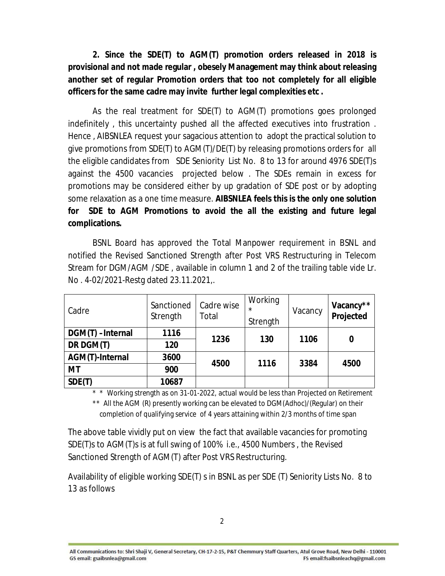**2. Since the SDE(T) to AGM(T) promotion orders released in 2018 is provisional and not made regular , obesely Management may think about releasing another set of regular Promotion orders that too not completely for all eligible officers for the same cadre may invite further legal complexities etc .**

As the real treatment for SDE(T) to AGM(T) promotions goes prolonged indefinitely , this uncertainty pushed all the affected executives into frustration . Hence , AIBSNLEA request your sagacious attention to adopt the practical solution to give promotions from SDE(T) to AGM(T)/DE(T) by releasing promotions orders for all the eligible candidates from SDE Seniority List No. 8 to 13 for around 4976 SDE(T)s against the 4500 vacancies projected below . The SDEs remain in excess for promotions may be considered either by up gradation of SDE post or by adopting some relaxation as a one time measure. **AIBSNLEA feels this is the only one solution for SDE to AGM Promotions to avoid the all the existing and future legal complications.**

BSNL Board has approved the Total Manpower requirement in BSNL and notified the Revised Sanctioned Strength after Post VRS Restructuring in Telecom Stream for DGM/AGM /SDE , available in column 1 and 2 of the trailing table vide Lr. No . 4-02/2021-Restg dated 23.11.2021,.

| Cadre                  | Sanctioned<br>Strength | Cadre wise<br>Total | Working<br>$\star$<br>Strength | Vacancy | Vacancy**<br>Projected |
|------------------------|------------------------|---------------------|--------------------------------|---------|------------------------|
| DGM(T) -Internal       | 1116                   | 1236                | 130                            | 1106    | 0                      |
| DR DGM(T)              | 120                    |                     |                                |         |                        |
| <b>AGM(T)-Internal</b> | 3600                   | 4500                | 1116                           | 3384    | 4500                   |
| МT                     | 900                    |                     |                                |         |                        |
| SDE(T)                 | 10687                  |                     |                                |         |                        |

\* \* Working strength as on 31-01-2022, actual would be less than Projected on Retirement

\*\* All the AGM (R) presently working can be elevated to DGM(Adhoc)/(Regular) on their completion of qualifying service of 4 years attaining within 2/3 months of time span

The above table vividly put on view the fact that available vacancies for promoting SDE(T)s to AGM(T)s is at full swing of 100% i.e., 4500 Numbers , the Revised Sanctioned Strength of AGM(T) after Post VRS Restructuring.

Availability of eligible working SDE(T) s in BSNL as per SDE (T) Seniority Lists No. 8 to 13 as follows

All Communications to: Shri Shaji V, General Secretary, CH-17-2-15, P&T Chemmury Staff Quarters, Atul Grove Road, New Delhi - 110001 GS email: gsaibsnlea@gmail.com FS email:fsaibsnleachq@gmail.com